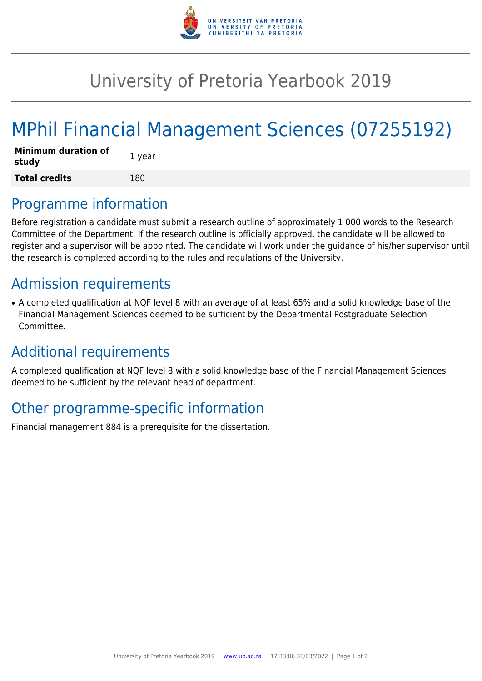

## University of Pretoria Yearbook 2019

# MPhil Financial Management Sciences (07255192)

| <b>Minimum duration of</b><br>study | 1 year |
|-------------------------------------|--------|
| <b>Total credits</b>                | 180    |

#### Programme information

Before registration a candidate must submit a research outline of approximately 1 000 words to the Research Committee of the Department. If the research outline is officially approved, the candidate will be allowed to register and a supervisor will be appointed. The candidate will work under the guidance of his/her supervisor until the research is completed according to the rules and regulations of the University.

### Admission requirements

• A completed qualification at NQF level 8 with an average of at least 65% and a solid knowledge base of the Financial Management Sciences deemed to be sufficient by the Departmental Postgraduate Selection Committee.

#### Additional requirements

A completed qualification at NQF level 8 with a solid knowledge base of the Financial Management Sciences deemed to be sufficient by the relevant head of department.

#### Other programme-specific information

Financial management 884 is a prerequisite for the dissertation.